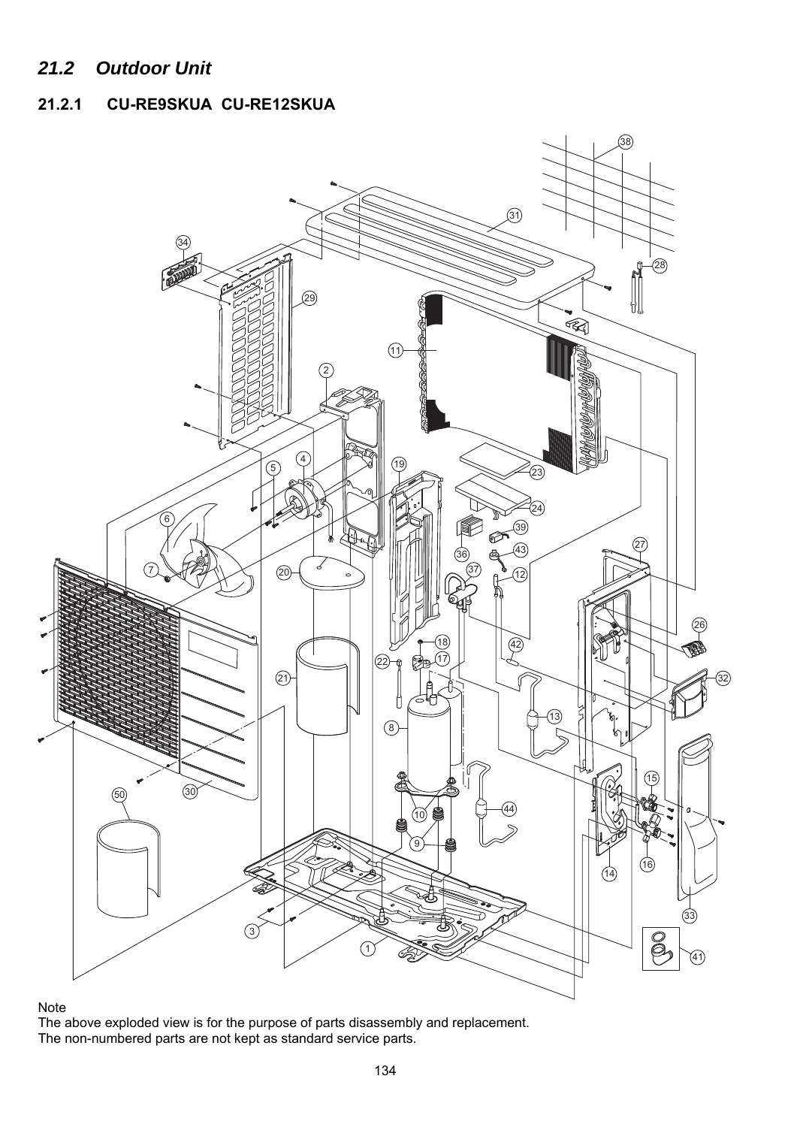## *21.2 Outdoor Unit*

## **21.2.1 CU-RE9SKUA CU-RE12SKUA**



## Note

The above exploded view is for the purpose of parts disassembly and replacement. The non-numbered parts are not kept as standard service parts.